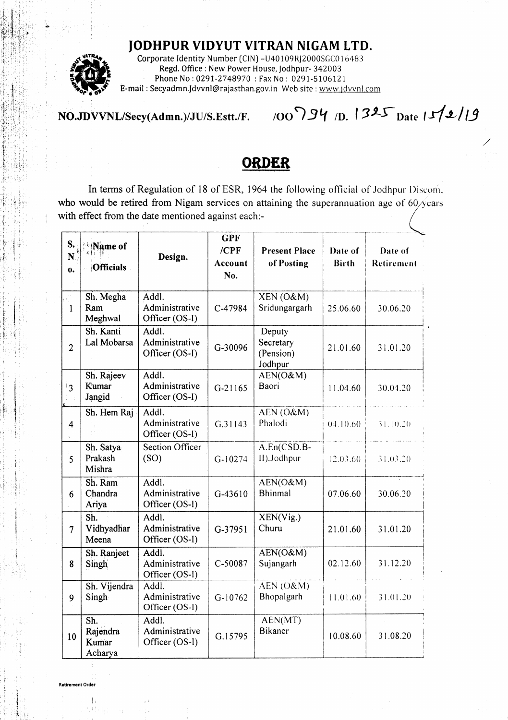## **JODHPUR VIDYUT VITRAN NIGAM LTD.**



Corporate Identity Number (CIN) - U40109RJ2000SGC016483 Regd. Office: New Power House, Jodhpur- 342003 Phone No: 0291-2748970: Fax No: 0291-5106121 E-mail: Secyadmn.Jdvvnl@rajasthan.gov.in Web site: www.jdvvnl.com

## 100794 1D. 1325 Date 15/2/19 NO.JDVVNL/Secy(Admn.)/JU/S.Estt./F.

## OKDER

In terms of Regulation of 18 of ESR, 1964 the following official of Jodhpur Discom, who would be retired from Nigam services on attaining the superannuation age of  $60/\sqrt{e}$ ars with effect from the date mentioned against each:-

|                                              |                                                           |                                           | <b>GPF</b>                  |                                             |                         |                       |
|----------------------------------------------|-----------------------------------------------------------|-------------------------------------------|-----------------------------|---------------------------------------------|-------------------------|-----------------------|
| S.<br>$\mathbf{N}^{\circ}$<br>$\mathbf{o}$ . | Name of<br>国 田 国<br><b>Officials</b>                      | Design.                                   | $/$ $CPF$<br>Account<br>No. | <b>Present Place</b><br>of Posting          | Date of<br><b>Birth</b> | Date of<br>Retirement |
| 1                                            | Sh. Megha<br>Ram<br>Meghwal                               | Addl.<br>Administrative<br>Officer (OS-I) | C-47984                     | XEN (O&M)<br>Sridungargarh                  | 25.06.60                | 30.06.20              |
| $\overline{2}$                               | Sh. Kanti<br>Lal Mobarsa                                  | Addl.<br>Administrative<br>Officer (OS-I) | G-30096                     | Deputy<br>Secretary<br>(Pension)<br>Jodhpur | 21.01.60                | 31.01.20              |
| ്ദ                                           | Sh. Rajeev<br>Kumar<br>Jangid                             | Addl.<br>Administrative<br>Officer (OS-I) | G-21165                     | AEN(O&M)<br>Baori                           | 11.04.60                | 30.04.20              |
| 4                                            | Sh. Hem Raj                                               | Addl.<br>Administrative<br>Officer (OS-I) | G.31143                     | AEN (O&M)<br>Phalodi                        | 04.10.60                | 31.10.20              |
| :<br>5                                       | Sh. Satya<br>Prakash<br>Mishra                            | Section Officer<br>(SO)                   | $G-10274$                   | A.En(CSD.B-<br>II), Jodhpur                 | 12.03.60                | 31.03.20              |
| 6                                            | Sh. Ram<br>Chandra<br>Ariya                               | Addl.<br>Administrative<br>Officer (OS-I) | G-43610                     | AEN(O&M)<br>Bhinmal                         | 07.06.60                | 30.06.20              |
| $\overline{7}$                               | $\overline{\mathsf{Sh}}$ .<br>Vidhyadhar<br>Meena         | Addl.<br>Administrative<br>Officer (OS-I) | G-37951                     | XEN(Vig.)<br>Churu                          | 21.01.60                | 31.01.20              |
| 8                                            | Sh. Ranjeet<br>Singh                                      | Addl.<br>Administrative<br>Officer (OS-I) | C-50087                     | AEN(O&M)<br>Sujangarh                       | 02.12.60                | 31.12.20              |
| 9                                            | Sh. Vijendra<br>Singh                                     | Addl.<br>Administrative<br>Officer (OS-I) | $G-10762$                   | AEN (O&M)<br>Bhopalgarh                     | 11.01.60                | 31.01.20              |
| 10                                           | $\overline{\mathsf{Sh.}}$<br>Rajendra<br>Kumar<br>Acharya | Addl.<br>Administrative<br>Officer (OS-I) | G.15795                     | AEN(MT)<br><b>Bikaner</b>                   | 10.08.60                | 31.08.20              |

 $\mathbf{1}$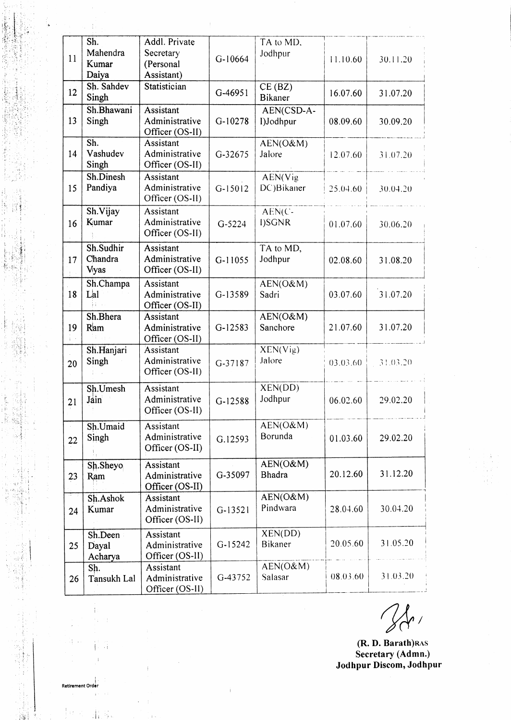|               | Sh.         | Addl. Private   |           | TA to MD,           |          |          |
|---------------|-------------|-----------------|-----------|---------------------|----------|----------|
|               | Mahendra    | Secretary       |           | Jodhpur             |          |          |
| 11            | Kumar       | (Personal       | $G-10664$ |                     | 11.10.60 | 30.11.20 |
|               | Daiya       | Assistant)      |           |                     |          |          |
|               | Sh. Sahdev  |                 |           |                     |          |          |
| 12            |             | Statistician    | G-46951   | CE(BZ)              | 16.07.60 | 31.07.20 |
|               | Singh       |                 |           | <b>Bikaner</b>      |          |          |
|               | Sh.Bhawani  | Assistant       |           | AEN(CSD-A-          |          |          |
| 13            | Singh       | Administrative  | $G-10278$ | I)Jodhpur           | 08.09.60 | 30.09.20 |
|               |             | Officer (OS-II) |           |                     |          |          |
|               | Sh.         | Assistant       |           | AEN(O&M)            |          |          |
| 14            | Vashudev    | Administrative  | G-32675   | Jalore              | 12.07.60 | 31.07.20 |
|               | Singh       | Officer (OS-II) |           |                     |          |          |
|               | Sh.Dinesh   | Assistant       |           | AEN(Vig             |          |          |
| 15            | Pandiya     | Administrative  | $G-15012$ | DC)Bikaner          | 25.04.60 | 30.04.20 |
|               |             | Officer (OS-II) |           |                     |          |          |
|               | Sh.Vijay    | Assistant       |           | $AEN(C-$            |          |          |
| 16            | Kumar       | Administrative  | G-5224    | I)SGNR              | 01.07.60 | 30.06.20 |
|               |             | Officer (OS-II) |           |                     |          |          |
|               | Sh.Sudhir   | Assistant       |           | TA to MD,           |          |          |
| 17            | Chandra     | Administrative  | G-11055   | Jodhpur             |          |          |
|               | Vyas        | Officer (OS-II) |           |                     | 02.08.60 | 31.08.20 |
|               |             |                 |           |                     |          |          |
|               | Sh.Champa   | Assistant       |           | $AEN(O\&M)$         |          |          |
| 18            | Lal         | Administrative  | G-13589   | Sadri               | 03.07.60 | 31.07.20 |
|               | Н.          | Officer (OS-II) |           |                     |          |          |
|               | Sh.Bhera    | Assistant       |           | AEN(O&M)            |          |          |
| 19            | Ram         | Administrative  | G-12583   | Sanchore            | 21.07.60 | 31.07.20 |
| $\frac{1}{2}$ |             | Officer (OS-II) |           |                     |          |          |
|               | Sh.Hanjari  | Assistant       |           | XEN(Vig)            |          |          |
| 20            | Singh       | Administrative  | G-37187   | Jalore              | 03.03.60 | 31.03.20 |
|               |             | Officer (OS-II) |           |                     |          |          |
|               | Sh.Umesh    | Assistant       |           | XEN(DD)             |          |          |
| 21            | Jain        | Administrative  | $G-12588$ | Jodhpur             | 06.02.60 | 29.02.20 |
|               |             | Officer (OS-II) |           |                     |          |          |
|               |             |                 |           |                     |          |          |
|               | Sh.Umaid    | Assistant       |           | AEN(O&M)<br>Borunda |          |          |
| 22            | Singh       | Administrative  | G.12593   |                     | 01.03.60 | 29.02.20 |
|               |             | Officer (OS-II) |           |                     |          |          |
|               | Sh.Sheyo    | Assistant       |           | AEN(O&M)            |          |          |
| 23            | Ram         | Administrative  | G-35097   | <b>Bhadra</b>       | 20.12.60 | 31.12.20 |
|               |             | Officer (OS-II) |           |                     |          |          |
|               | Sh.Ashok    | Assistant       |           | AEN(O&M)            |          |          |
| 24            | Kumar       | Administrative  | $G-13521$ | Pindwara            | 28.04.60 | 30.04.20 |
|               |             | Officer (OS-II) |           |                     |          |          |
|               | Sh.Deen     | Assistant       |           | XEN(DD)             |          |          |
| 25            | Dayal       | Administrative  | $G-15242$ | Bikaner             | 20.05.60 | 31.05.20 |
|               | Acharya     | Officer (OS-II) |           |                     |          |          |
|               | Sh.         | Assistant       |           | AEN(O&M)            |          |          |
| 26            | Tansukh Lal | Administrative  | G-43752   | Salasar             | 08.03.60 | 31.03.20 |
|               |             | Officer (OS-II) |           |                     |          |          |
|               |             |                 |           |                     |          |          |

 $\mathbf i$ 

 $\frac{1}{2}$ 

iil ' '.t !. " ::i: i. . i',. ,li <sup>r</sup>  $k_{\rm max}$  is i,,,::A, I <sup>l</sup>  $: \mathbb{N}^{\mathbb{N}}$ 

 $\mathbf{I}_i$ 

¦⊾

 $\gamma$  ,  $\gamma$  ,  $\gamma$  ,  $\gamma$ 

l . :.: <sup>l</sup> i:,. Ir l, l:, :trt::. i., ...,',i: i,.:tttt.  $\sim$  1

 $, \, \mathrm{m}$ ',.!.; ) ':l :. '.,,i  $\sim$   $\sim$   $\sim$  ,  $\sim$  $\sim$  ari l,: .l'.:!,' I,

 $\vdash$  ,  $\land$   $\vdots$ !: . ii.i:i  $: \mathbb{R}^1 \times \mathbb{R}^3$  $\ell_{\rm M}^{\rm SM}$  : 'I il: <sup>j</sup> '..:,

> lri:  $\frac{1}{2}$

l.

li

 $\mathbf{i}$ 

È  $\bar{\gamma}$  $\epsilon_{\rm T}$ 

 $\frac{1}{4}$ ,  $\frac{1}{9}$ ,

 $\hat{V}$ 

.<br>Retirement Order

ja.<br>P

 $24$ 

 $\frac{1}{1-\frac{1}{2}}$  .

(**R. D. Barath**)RAS Secretary (Admn.) Jodhpur Discom, Jodhpur